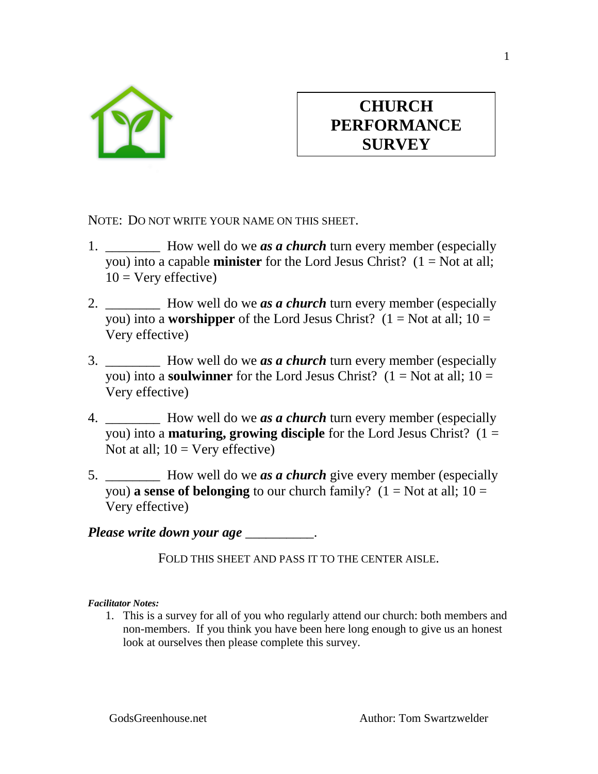

## **CHURCH PERFORMANCE SURVEY**

NOTE: DO NOT WRITE YOUR NAME ON THIS SHEET.

- 1. \_\_\_\_\_\_\_\_\_ How well do we *as a church* turn every member (especially you) into a capable **minister** for the Lord Jesus Christ?  $(1 = Not at all;$  $10 =$  Very effective)
- 2. \_\_\_\_\_\_\_\_ How well do we *as a church* turn every member (especially you) into a **worshipper** of the Lord Jesus Christ? ( $1 = Not at all$ ;  $10 =$ Very effective)
- 3. \_\_\_\_\_\_\_\_ How well do we *as a church* turn every member (especially you) into a **soulwinner** for the Lord Jesus Christ? ( $1 = Not$  at all;  $10 =$ Very effective)
- 4. \_\_\_\_\_\_\_\_ How well do we *as a church* turn every member (especially you) into a **maturing, growing disciple** for the Lord Jesus Christ? (1 = Not at all;  $10 = \text{Very effective}$ )
- 5. **Example 3** How well do we *as a church* give every member (especially you) **a sense of belonging** to our church family?  $(1 = Not at all; 10 =$ Very effective)

*Please write down your age* \_\_\_\_\_\_\_\_\_\_.

FOLD THIS SHEET AND PASS IT TO THE CENTER AISLE.

*Facilitator Notes:*

1. This is a survey for all of you who regularly attend our church: both members and non-members. If you think you have been here long enough to give us an honest look at ourselves then please complete this survey.